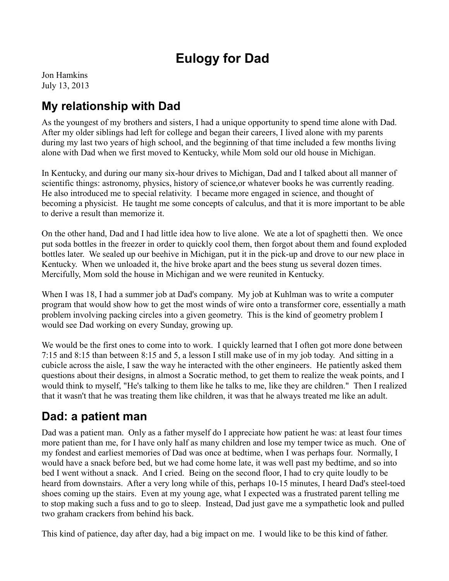# **Eulogy for Dad**

Jon Hamkins July 13, 2013

### **My relationship with Dad**

As the youngest of my brothers and sisters, I had a unique opportunity to spend time alone with Dad. After my older siblings had left for college and began their careers, I lived alone with my parents during my last two years of high school, and the beginning of that time included a few months living alone with Dad when we first moved to Kentucky, while Mom sold our old house in Michigan.

In Kentucky, and during our many six-hour drives to Michigan, Dad and I talked about all manner of scientific things: astronomy, physics, history of science,or whatever books he was currently reading. He also introduced me to special relativity. I became more engaged in science, and thought of becoming a physicist. He taught me some concepts of calculus, and that it is more important to be able to derive a result than memorize it.

On the other hand, Dad and I had little idea how to live alone. We ate a lot of spaghetti then. We once put soda bottles in the freezer in order to quickly cool them, then forgot about them and found exploded bottles later. We sealed up our beehive in Michigan, put it in the pick-up and drove to our new place in Kentucky. When we unloaded it, the hive broke apart and the bees stung us several dozen times. Mercifully, Mom sold the house in Michigan and we were reunited in Kentucky.

When I was 18, I had a summer job at Dad's company. My job at Kuhlman was to write a computer program that would show how to get the most winds of wire onto a transformer core, essentially a math problem involving packing circles into a given geometry. This is the kind of geometry problem I would see Dad working on every Sunday, growing up.

We would be the first ones to come into to work. I quickly learned that I often got more done between 7:15 and 8:15 than between 8:15 and 5, a lesson I still make use of in my job today. And sitting in a cubicle across the aisle, I saw the way he interacted with the other engineers. He patiently asked them questions about their designs, in almost a Socratic method, to get them to realize the weak points, and I would think to myself, "He's talking to them like he talks to me, like they are children." Then I realized that it wasn't that he was treating them like children, it was that he always treated me like an adult.

#### **Dad: a patient man**

Dad was a patient man. Only as a father myself do I appreciate how patient he was: at least four times more patient than me, for I have only half as many children and lose my temper twice as much. One of my fondest and earliest memories of Dad was once at bedtime, when I was perhaps four. Normally, I would have a snack before bed, but we had come home late, it was well past my bedtime, and so into bed I went without a snack. And I cried. Being on the second floor, I had to cry quite loudly to be heard from downstairs. After a very long while of this, perhaps 10-15 minutes, I heard Dad's steel-toed shoes coming up the stairs. Even at my young age, what I expected was a frustrated parent telling me to stop making such a fuss and to go to sleep. Instead, Dad just gave me a sympathetic look and pulled two graham crackers from behind his back.

This kind of patience, day after day, had a big impact on me. I would like to be this kind of father.